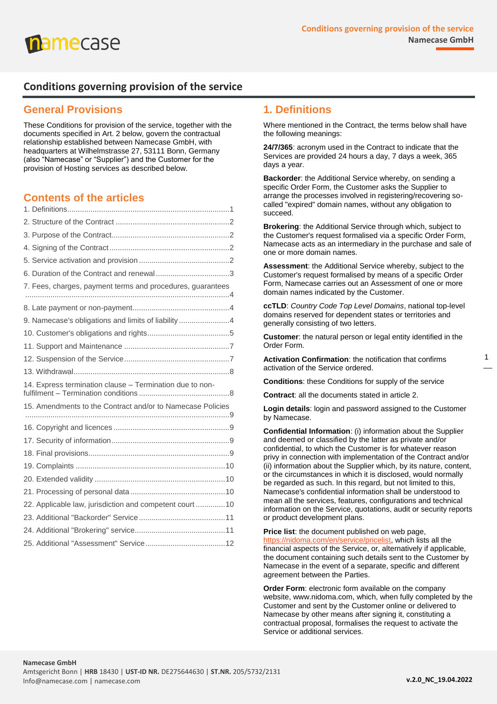

#### **Conditions governing provision of the service**

#### **General Provisions**

These Conditions for provision of the service, together with the documents specified in Art. 2 below, govern the contractual relationship established between Namecase GmbH, with headquarters at Wilhelmstrasse 27, 53111 Bonn, Germany (also "Namecase" or "Supplier") and the Customer for the provision of Hosting services as described below.

#### **Contents of the articles**

| 7. Fees, charges, payment terms and procedures, guarantees |  |
|------------------------------------------------------------|--|
|                                                            |  |
|                                                            |  |
| 9. Namecase's obligations and limits of liability4         |  |
|                                                            |  |
|                                                            |  |
|                                                            |  |
|                                                            |  |
| 14. Express termination clause - Termination due to non-   |  |
| 15. Amendments to the Contract and/or to Namecase Policies |  |
|                                                            |  |
|                                                            |  |
|                                                            |  |
|                                                            |  |
|                                                            |  |
|                                                            |  |
|                                                            |  |
| 22. Applicable law, jurisdiction and competent court  10   |  |
|                                                            |  |
|                                                            |  |
|                                                            |  |

#### <span id="page-0-0"></span>**1. Definitions**

Where mentioned in the Contract, the terms below shall have the following meanings:

**24/7/365**: acronym used in the Contract to indicate that the Services are provided 24 hours a day, 7 days a week, 365 days a year.

**Backorder**: the Additional Service whereby, on sending a specific Order Form, the Customer asks the Supplier to arrange the processes involved in registering/recovering socalled "expired" domain names, without any obligation to succeed.

**Brokering**: the Additional Service through which, subject to the Customer's request formalised via a specific Order Form, Namecase acts as an intermediary in the purchase and sale of one or more domain names.

**Assessment**: the Additional Service whereby, subject to the Customer's request formalised by means of a specific Order Form, Namecase carries out an Assessment of one or more domain names indicated by the Customer.

**ccTLD**: *Country Code Top Level Domains*, national top-level domains reserved for dependent states or territories and generally consisting of two letters.

**Customer**: the natural person or legal entity identified in the Order Form.

**Activation Confirmation**: the notification that confirms activation of the Service ordered.

**Conditions**: these Conditions for supply of the service

**Contract**: all the documents stated in article 2.

**Login details**: login and password assigned to the Customer by Namecase.

**Confidential Information**: (i) information about the Supplier and deemed or classified by the latter as private and/or confidential, to which the Customer is for whatever reason privy in connection with implementation of the Contract and/or (ii) information about the Supplier which, by its nature, content, or the circumstances in which it is disclosed, would normally be regarded as such. In this regard, but not limited to this, Namecase's confidential information shall be understood to mean all the services, features, configurations and technical information on the Service, quotations, audit or security reports or product development plans.

**Price list**: the document published on web page, [https://nidoma.com/en/service/pricelist,](https://nidoma.com/en/service/pricelist) which lists all the financial aspects of the Service, or, alternatively if applicable, the document containing such details sent to the Customer by Namecase in the event of a separate, specific and different agreement between the Parties.

**Order Form**: electronic form available on the company website, www.nidoma.com, which, when fully completed by the Customer and sent by the Customer online or delivered to Namecase by other means after signing it, constituting a contractual proposal, formalises the request to activate the Service or additional services.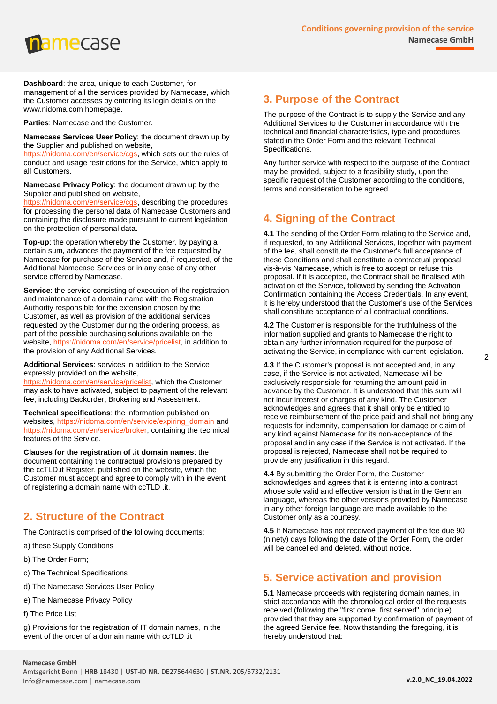

**Dashboard**: the area, unique to each Customer, for management of all the services provided by Namecase, which the Customer accesses by entering its login details on the www.nidoma.com homepage.

**Parties**: Namecase and the Customer.

**Namecase Services User Policy**: the document drawn up by the Supplier and published on website,

[https://nidoma.com/en/service/cgs,](https://nidoma.com/en/service/cgs) which sets out the rules of conduct and usage restrictions for the Service, which apply to all Customers.

**Namecase Privacy Policy**: the document drawn up by the Supplier and published on website,

[https://nidoma.com/en/service/cgs,](https://nidoma.com/en/service/cgs) describing the procedures for processing the personal data of Namecase Customers and containing the disclosure made pursuant to current legislation on the protection of personal data.

**Top-up**: the operation whereby the Customer, by paying a certain sum, advances the payment of the fee requested by Namecase for purchase of the Service and, if requested, of the Additional Namecase Services or in any case of any other service offered by Namecase.

**Service**: the service consisting of execution of the registration and maintenance of a domain name with the Registration Authority responsible for the extension chosen by the Customer, as well as provision of the additional services requested by the Customer during the ordering process, as part of the possible purchasing solutions available on the website, [https://nidoma.com/en/service/pricelist,](https://nidoma.com/en/service/pricelist) in addition to the provision of any Additional Services.

**Additional Services**: services in addition to the Service expressly provided on the website, [https://nidoma.com/en/service/pricelist,](https://nidoma.com/en/service/pricelist) which the Customer may ask to have activated, subject to payment of the relevant fee, including Backorder, Brokering and Assessment.

**Technical specifications**: the information published on websites, [https://nidoma.com/en/service/expiring\\_domain](https://nidoma.com/en/service/expiring_domain) and [https://nidoma.com/en/service/broker,](https://nidoma.com/en/service/broker) containing the technical features of the Service.

**Clauses for the registration of .it domain names**: the document containing the contractual provisions prepared by the ccTLD.it Register, published on the website, which the Customer must accept and agree to comply with in the event of registering a domain name with ccTLD .it.

#### <span id="page-1-0"></span>**2. Structure of the Contract**

The Contract is comprised of the following documents:

- a) these Supply Conditions
- b) The Order Form;
- c) The Technical Specifications
- d) The Namecase Services User Policy
- e) The Namecase Privacy Policy
- f) The Price List

g) Provisions for the registration of IT domain names, in the event of the order of a domain name with ccTLD .it

#### <span id="page-1-1"></span>**3. Purpose of the Contract**

The purpose of the Contract is to supply the Service and any Additional Services to the Customer in accordance with the technical and financial characteristics, type and procedures stated in the Order Form and the relevant Technical Specifications.

Any further service with respect to the purpose of the Contract may be provided, subject to a feasibility study, upon the specific request of the Customer according to the conditions, terms and consideration to be agreed.

#### <span id="page-1-2"></span>**4. Signing of the Contract**

**4.1** The sending of the Order Form relating to the Service and, if requested, to any Additional Services, together with payment of the fee, shall constitute the Customer's full acceptance of these Conditions and shall constitute a contractual proposal vis-à-vis Namecase, which is free to accept or refuse this proposal. If it is accepted, the Contract shall be finalised with activation of the Service, followed by sending the Activation Confirmation containing the Access Credentials. In any event, it is hereby understood that the Customer's use of the Services shall constitute acceptance of all contractual conditions.

**4.2** The Customer is responsible for the truthfulness of the information supplied and grants to Namecase the right to obtain any further information required for the purpose of activating the Service, in compliance with current legislation.

**4.3** If the Customer's proposal is not accepted and, in any case, if the Service is not activated, Namecase will be exclusively responsible for returning the amount paid in advance by the Customer. It is understood that this sum will not incur interest or charges of any kind. The Customer acknowledges and agrees that it shall only be entitled to receive reimbursement of the price paid and shall not bring any requests for indemnity, compensation for damage or claim of any kind against Namecase for its non-acceptance of the proposal and in any case if the Service is not activated. If the proposal is rejected, Namecase shall not be required to provide any justification in this regard.

**4.4** By submitting the Order Form, the Customer acknowledges and agrees that it is entering into a contract whose sole valid and effective version is that in the German language, whereas the other versions provided by Namecase in any other foreign language are made available to the Customer only as a courtesy.

**4.5** If Namecase has not received payment of the fee due 90 (ninety) days following the date of the Order Form, the order will be cancelled and deleted, without notice.

#### <span id="page-1-3"></span>**5. Service activation and provision**

**5.1** Namecase proceeds with registering domain names, in strict accordance with the chronological order of the requests received (following the "first come, first served" principle) provided that they are supported by confirmation of payment of the agreed Service fee. Notwithstanding the foregoing, it is hereby understood that: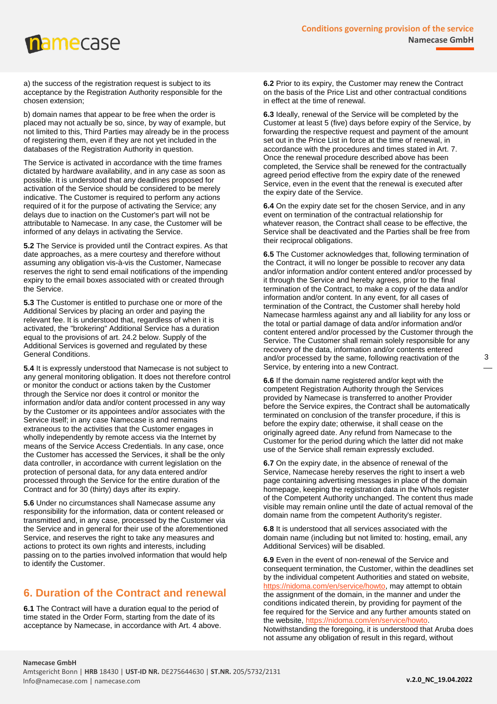a) the success of the registration request is subject to its acceptance by the Registration Authority responsible for the chosen extension;

b) domain names that appear to be free when the order is placed may not actually be so, since, by way of example, but not limited to this, Third Parties may already be in the process of registering them, even if they are not yet included in the databases of the Registration Authority in question.

The Service is activated in accordance with the time frames dictated by hardware availability, and in any case as soon as possible. It is understood that any deadlines proposed for activation of the Service should be considered to be merely indicative. The Customer is required to perform any actions required of it for the purpose of activating the Service; any delays due to inaction on the Customer's part will not be attributable to Namecase. In any case, the Customer will be informed of any delays in activating the Service.

**5.2** The Service is provided until the Contract expires. As that date approaches, as a mere courtesy and therefore without assuming any obligation vis-à-vis the Customer, Namecase reserves the right to send email notifications of the impending expiry to the email boxes associated with or created through the Service.

**5.3** The Customer is entitled to purchase one or more of the Additional Services by placing an order and paying the relevant fee. It is understood that, regardless of when it is activated, the "brokering" Additional Service has a duration equal to the provisions of art. 24.2 below. Supply of the Additional Services is governed and regulated by these General Conditions.

**5.4** It is expressly understood that Namecase is not subject to any general monitoring obligation. It does not therefore control or monitor the conduct or actions taken by the Customer through the Service nor does it control or monitor the information and/or data and/or content processed in any way by the Customer or its appointees and/or associates with the Service itself; in any case Namecase is and remains extraneous to the activities that the Customer engages in wholly independently by remote access via the Internet by means of the Service Access Credentials. In any case, once the Customer has accessed the Services, it shall be the only data controller, in accordance with current legislation on the protection of personal data, for any data entered and/or processed through the Service for the entire duration of the Contract and for 30 (thirty) days after its expiry.

**5.6** Under no circumstances shall Namecase assume any responsibility for the information, data or content released or transmitted and, in any case, processed by the Customer via the Service and in general for their use of the aforementioned Service, and reserves the right to take any measures and actions to protect its own rights and interests, including passing on to the parties involved information that would help to identify the Customer.

### <span id="page-2-0"></span>**6. Duration of the Contract and renewal**

**6.1** The Contract will have a duration equal to the period of time stated in the Order Form, starting from the date of its acceptance by Namecase, in accordance with Art. 4 above.

**6.2** Prior to its expiry, the Customer may renew the Contract on the basis of the Price List and other contractual conditions in effect at the time of renewal.

**6.3** Ideally, renewal of the Service will be completed by the Customer at least 5 (five) days before expiry of the Service, by forwarding the respective request and payment of the amount set out in the Price List in force at the time of renewal, in accordance with the procedures and times stated in Art. 7. Once the renewal procedure described above has been completed, the Service shall be renewed for the contractually agreed period effective from the expiry date of the renewed Service, even in the event that the renewal is executed after the expiry date of the Service.

**6.4** On the expiry date set for the chosen Service, and in any event on termination of the contractual relationship for whatever reason, the Contract shall cease to be effective, the Service shall be deactivated and the Parties shall be free from their reciprocal obligations.

**6.5** The Customer acknowledges that, following termination of the Contract, it will no longer be possible to recover any data and/or information and/or content entered and/or processed by it through the Service and hereby agrees, prior to the final termination of the Contract, to make a copy of the data and/or information and/or content. In any event, for all cases of termination of the Contract, the Customer shall hereby hold Namecase harmless against any and all liability for any loss or the total or partial damage of data and/or information and/or content entered and/or processed by the Customer through the Service. The Customer shall remain solely responsible for any recovery of the data, information and/or contents entered and/or processed by the same, following reactivation of the Service, by entering into a new Contract.

**6.6** If the domain name registered and/or kept with the competent Registration Authority through the Services provided by Namecase is transferred to another Provider before the Service expires, the Contract shall be automatically terminated on conclusion of the transfer procedure, if this is before the expiry date; otherwise, it shall cease on the originally agreed date. Any refund from Namecase to the Customer for the period during which the latter did not make use of the Service shall remain expressly excluded.

**6.7** On the expiry date, in the absence of renewal of the Service, Namecase hereby reserves the right to insert a web page containing advertising messages in place of the domain homepage, keeping the registration data in the WhoIs register of the Competent Authority unchanged. The content thus made visible may remain online until the date of actual removal of the domain name from the competent Authority's register.

**6.8** It is understood that all services associated with the domain name (including but not limited to: hosting, email, any Additional Services) will be disabled.

**6.9** Even in the event of non-renewal of the Service and consequent termination, the Customer, within the deadlines set by the individual competent Authorities and stated on website, [https://nidoma.com/en/service/howto,](https://nidoma.com/en/service/howto) may attempt to obtain the assignment of the domain, in the manner and under the conditions indicated therein, by providing for payment of the fee required for the Service and any further amounts stated on the website, [https://nidoma.com/en/service/howto.](https://nidoma.com/en/service/howto) Notwithstanding the foregoing, it is understood that Aruba does not assume any obligation of result in this regard, without

3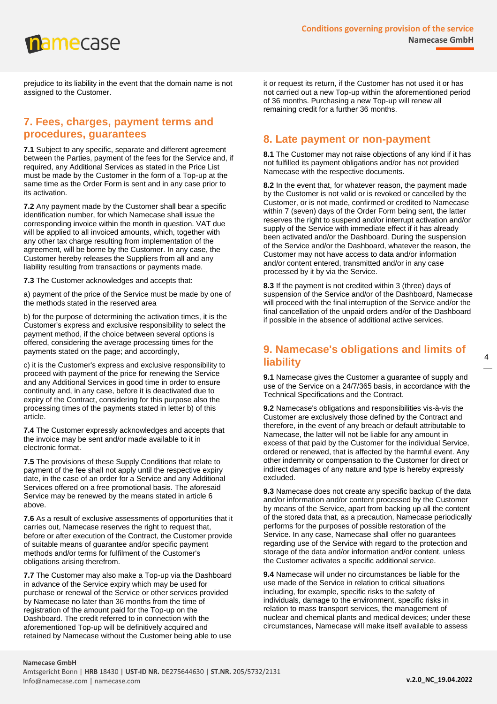prejudice to its liability in the event that the domain name is not assigned to the Customer.

#### <span id="page-3-0"></span>**7. Fees, charges, payment terms and procedures, guarantees**

**7.1** Subject to any specific, separate and different agreement between the Parties, payment of the fees for the Service and, if required, any Additional Services as stated in the Price List must be made by the Customer in the form of a Top-up at the same time as the Order Form is sent and in any case prior to its activation.

**7.2** Any payment made by the Customer shall bear a specific identification number, for which Namecase shall issue the corresponding invoice within the month in question. VAT due will be applied to all invoiced amounts, which, together with any other tax charge resulting from implementation of the agreement, will be borne by the Customer. In any case, the Customer hereby releases the Suppliers from all and any liability resulting from transactions or payments made.

**7.3** The Customer acknowledges and accepts that:

a) payment of the price of the Service must be made by one of the methods stated in the reserved area

b) for the purpose of determining the activation times, it is the Customer's express and exclusive responsibility to select the payment method, if the choice between several options is offered, considering the average processing times for the payments stated on the page; and accordingly,

c) it is the Customer's express and exclusive responsibility to proceed with payment of the price for renewing the Service and any Additional Services in good time in order to ensure continuity and, in any case, before it is deactivated due to expiry of the Contract, considering for this purpose also the processing times of the payments stated in letter b) of this article.

**7.4** The Customer expressly acknowledges and accepts that the invoice may be sent and/or made available to it in electronic format.

**7.5** The provisions of these Supply Conditions that relate to payment of the fee shall not apply until the respective expiry date, in the case of an order for a Service and any Additional Services offered on a free promotional basis. The aforesaid Service may be renewed by the means stated in article 6 above.

**7.6** As a result of exclusive assessments of opportunities that it carries out, Namecase reserves the right to request that, before or after execution of the Contract, the Customer provide of suitable means of guarantee and/or specific payment methods and/or terms for fulfilment of the Customer's obligations arising therefrom.

**7.7** The Customer may also make a Top-up via the Dashboard in advance of the Service expiry which may be used for purchase or renewal of the Service or other services provided by Namecase no later than 36 months from the time of registration of the amount paid for the Top-up on the Dashboard. The credit referred to in connection with the aforementioned Top-up will be definitively acquired and retained by Namecase without the Customer being able to use it or request its return, if the Customer has not used it or has not carried out a new Top-up within the aforementioned period of 36 months. Purchasing a new Top-up will renew all remaining credit for a further 36 months.

#### <span id="page-3-1"></span>**8. Late payment or non-payment**

**8.1** The Customer may not raise objections of any kind if it has not fulfilled its payment obligations and/or has not provided Namecase with the respective documents.

**8.2** In the event that, for whatever reason, the payment made by the Customer is not valid or is revoked or cancelled by the Customer, or is not made, confirmed or credited to Namecase within 7 (seven) days of the Order Form being sent, the latter reserves the right to suspend and/or interrupt activation and/or supply of the Service with immediate effect if it has already been activated and/or the Dashboard. During the suspension of the Service and/or the Dashboard, whatever the reason, the Customer may not have access to data and/or information and/or content entered, transmitted and/or in any case processed by it by via the Service.

**8.3** If the payment is not credited within 3 (three) days of suspension of the Service and/or of the Dashboard, Namecase will proceed with the final interruption of the Service and/or the final cancellation of the unpaid orders and/or of the Dashboard if possible in the absence of additional active services.

#### <span id="page-3-2"></span>**9. Namecase's obligations and limits of liability**

**9.1** Namecase gives the Customer a guarantee of supply and use of the Service on a 24/7/365 basis, in accordance with the Technical Specifications and the Contract.

**9.2** Namecase's obligations and responsibilities vis-à-vis the Customer are exclusively those defined by the Contract and therefore, in the event of any breach or default attributable to Namecase, the latter will not be liable for any amount in excess of that paid by the Customer for the individual Service, ordered or renewed, that is affected by the harmful event. Any other indemnity or compensation to the Customer for direct or indirect damages of any nature and type is hereby expressly excluded.

**9.3** Namecase does not create any specific backup of the data and/or information and/or content processed by the Customer by means of the Service, apart from backing up all the content of the stored data that, as a precaution, Namecase periodically performs for the purposes of possible restoration of the Service. In any case, Namecase shall offer no guarantees regarding use of the Service with regard to the protection and storage of the data and/or information and/or content, unless the Customer activates a specific additional service.

**9.4** Namecase will under no circumstances be liable for the use made of the Service in relation to critical situations including, for example, specific risks to the safety of individuals, damage to the environment, specific risks in relation to mass transport services, the management of nuclear and chemical plants and medical devices; under these circumstances, Namecase will make itself available to assess

#### **Namecase GmbH**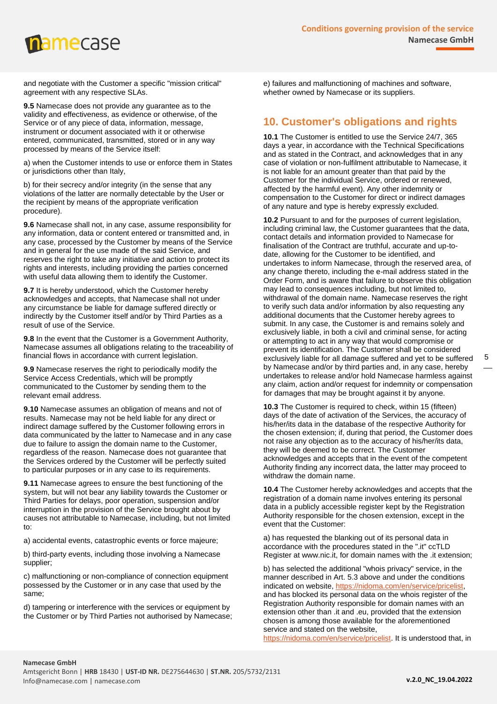and negotiate with the Customer a specific "mission critical" agreement with any respective SLAs.

**9.5** Namecase does not provide any guarantee as to the validity and effectiveness, as evidence or otherwise, of the Service or of any piece of data, information, message, instrument or document associated with it or otherwise entered, communicated, transmitted, stored or in any way processed by means of the Service itself:

a) when the Customer intends to use or enforce them in States or jurisdictions other than Italy,

b) for their secrecy and/or integrity (in the sense that any violations of the latter are normally detectable by the User or the recipient by means of the appropriate verification procedure).

**9.6** Namecase shall not, in any case, assume responsibility for any information, data or content entered or transmitted and, in any case, processed by the Customer by means of the Service and in general for the use made of the said Service, and reserves the right to take any initiative and action to protect its rights and interests, including providing the parties concerned with useful data allowing them to identify the Customer.

**9.7** It is hereby understood, which the Customer hereby acknowledges and accepts, that Namecase shall not under any circumstance be liable for damage suffered directly or indirectly by the Customer itself and/or by Third Parties as a result of use of the Service.

**9.8** In the event that the Customer is a Government Authority, Namecase assumes all obligations relating to the traceability of financial flows in accordance with current legislation.

**9.9** Namecase reserves the right to periodically modify the Service Access Credentials, which will be promptly communicated to the Customer by sending them to the relevant email address.

**9.10** Namecase assumes an obligation of means and not of results. Namecase may not be held liable for any direct or indirect damage suffered by the Customer following errors in data communicated by the latter to Namecase and in any case due to failure to assign the domain name to the Customer, regardless of the reason. Namecase does not guarantee that the Services ordered by the Customer will be perfectly suited to particular purposes or in any case to its requirements.

**9.11** Namecase agrees to ensure the best functioning of the system, but will not bear any liability towards the Customer or Third Parties for delays, poor operation, suspension and/or interruption in the provision of the Service brought about by causes not attributable to Namecase, including, but not limited to:

a) accidental events, catastrophic events or force majeure;

b) third-party events, including those involving a Namecase supplier;

c) malfunctioning or non-compliance of connection equipment possessed by the Customer or in any case that used by the same;

d) tampering or interference with the services or equipment by the Customer or by Third Parties not authorised by Namecase; e) failures and malfunctioning of machines and software, whether owned by Namecase or its suppliers.

#### <span id="page-4-0"></span>**10. Customer's obligations and rights**

**10.1** The Customer is entitled to use the Service 24/7, 365 days a year, in accordance with the Technical Specifications and as stated in the Contract, and acknowledges that in any case of violation or non-fulfilment attributable to Namecase, it is not liable for an amount greater than that paid by the Customer for the individual Service, ordered or renewed, affected by the harmful event). Any other indemnity or compensation to the Customer for direct or indirect damages of any nature and type is hereby expressly excluded.

**10.2** Pursuant to and for the purposes of current legislation, including criminal law, the Customer guarantees that the data, contact details and information provided to Namecase for finalisation of the Contract are truthful, accurate and up-todate, allowing for the Customer to be identified, and undertakes to inform Namecase, through the reserved area, of any change thereto, including the e-mail address stated in the Order Form, and is aware that failure to observe this obligation may lead to consequences including, but not limited to, withdrawal of the domain name. Namecase reserves the right to verify such data and/or information by also requesting any additional documents that the Customer hereby agrees to submit. In any case, the Customer is and remains solely and exclusively liable, in both a civil and criminal sense, for acting or attempting to act in any way that would compromise or prevent its identification. The Customer shall be considered exclusively liable for all damage suffered and yet to be suffered by Namecase and/or by third parties and, in any case, hereby undertakes to release and/or hold Namecase harmless against any claim, action and/or request for indemnity or compensation for damages that may be brought against it by anyone.

**10.3** The Customer is required to check, within 15 (fifteen) days of the date of activation of the Services, the accuracy of his/her/its data in the database of the respective Authority for the chosen extension; if, during that period, the Customer does not raise any objection as to the accuracy of his/her/its data, they will be deemed to be correct. The Customer acknowledges and accepts that in the event of the competent Authority finding any incorrect data, the latter may proceed to withdraw the domain name.

**10.4** The Customer hereby acknowledges and accepts that the registration of a domain name involves entering its personal data in a publicly accessible register kept by the Registration Authority responsible for the chosen extension, except in the event that the Customer:

a) has requested the blanking out of its personal data in accordance with the procedures stated in the ".it" ccTLD Register at www.nic.it, for domain names with the .it extension;

b) has selected the additional "whois privacy" service, in the manner described in Art. 5.3 above and under the conditions indicated on website, [https://nidoma.com/en/service/pricelist,](https://nidoma.com/en/service/pricelist) and has blocked its personal data on the whois register of the Registration Authority responsible for domain names with an extension other than .it and .eu, provided that the extension chosen is among those available for the aforementioned service and stated on the website,

[https://nidoma.com/en/service/pricelist.](https://nidoma.com/en/service/pricelist) It is understood that, in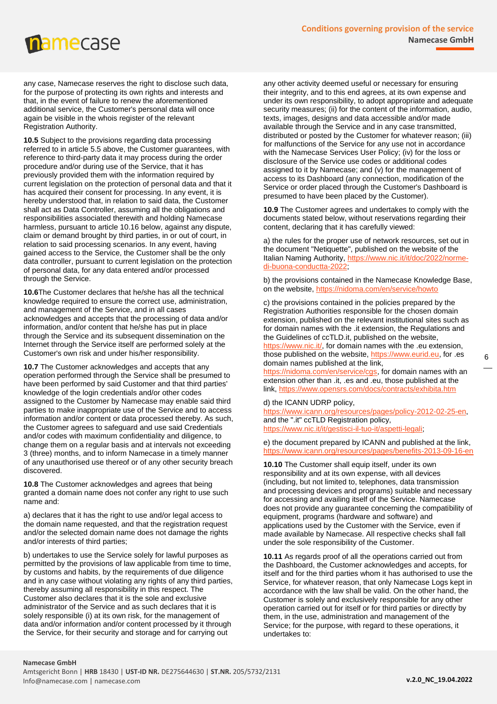any case, Namecase reserves the right to disclose such data, for the purpose of protecting its own rights and interests and that, in the event of failure to renew the aforementioned additional service, the Customer's personal data will once again be visible in the whois register of the relevant Registration Authority.

**10.5** Subject to the provisions regarding data processing referred to in article 5.5 above, the Customer guarantees, with reference to third-party data it may process during the order procedure and/or during use of the Service, that it has previously provided them with the information required by current legislation on the protection of personal data and that it has acquired their consent for processing. In any event, it is hereby understood that, in relation to said data, the Customer shall act as Data Controller, assuming all the obligations and responsibilities associated therewith and holding Namecase harmless, pursuant to article 10.16 below, against any dispute, claim or demand brought by third parties, in or out of court, in relation to said processing scenarios. In any event, having gained access to the Service, the Customer shall be the only data controller, pursuant to current legislation on the protection of personal data, for any data entered and/or processed through the Service.

**10.6**The Customer declares that he/she has all the technical knowledge required to ensure the correct use, administration, and management of the Service, and in all cases acknowledges and accepts that the processing of data and/or information, and/or content that he/she has put in place through the Service and its subsequent dissemination on the Internet through the Service itself are performed solely at the Customer's own risk and under his/her responsibility.

**10.7** The Customer acknowledges and accepts that any operation performed through the Service shall be presumed to have been performed by said Customer and that third parties' knowledge of the login credentials and/or other codes assigned to the Customer by Namecase may enable said third parties to make inappropriate use of the Service and to access information and/or content or data processed thereby. As such, the Customer agrees to safeguard and use said Credentials and/or codes with maximum confidentiality and diligence, to change them on a regular basis and at intervals not exceeding 3 (three) months, and to inform Namecase in a timely manner of any unauthorised use thereof or of any other security breach discovered.

**10.8** The Customer acknowledges and agrees that being granted a domain name does not confer any right to use such name and:

a) declares that it has the right to use and/or legal access to the domain name requested, and that the registration request and/or the selected domain name does not damage the rights and/or interests of third parties;

b) undertakes to use the Service solely for lawful purposes as permitted by the provisions of law applicable from time to time, by customs and habits, by the requirements of due diligence and in any case without violating any rights of any third parties, thereby assuming all responsibility in this respect. The Customer also declares that it is the sole and exclusive administrator of the Service and as such declares that it is solely responsible (i) at its own risk, for the management of data and/or information and/or content processed by it through the Service, for their security and storage and for carrying out

any other activity deemed useful or necessary for ensuring their integrity, and to this end agrees, at its own expense and under its own responsibility, to adopt appropriate and adequate security measures; (ii) for the content of the information, audio, texts, images, designs and data accessible and/or made available through the Service and in any case transmitted, distributed or posted by the Customer for whatever reason; (iii) for malfunctions of the Service for any use not in accordance with the Namecase Services User Policy; (iv) for the loss or disclosure of the Service use codes or additional codes assigned to it by Namecase; and (v) for the management of access to its Dashboard (any connection, modification of the Service or order placed through the Customer's Dashboard is presumed to have been placed by the Customer).

**10.9** The Customer agrees and undertakes to comply with the documents stated below, without reservations regarding their content, declaring that it has carefully viewed:

a) the rules for the proper use of network resources, set out in the document "Netiquette", published on the website of the Italian Naming Authority, [https://www.nic.it/it/doc/2022/norme](https://www.nic.it/it/doc/2022/norme-di-buona-condotta-2022)[di-buona-conductta-2022;](https://www.nic.it/it/doc/2022/norme-di-buona-condotta-2022)

b) the provisions contained in the Namecase Knowledge Base, on the website[, https://nidoma.com/en/service/howto](https://nidoma.com/en/service/howto)

c) the provisions contained in the policies prepared by the Registration Authorities responsible for the chosen domain extension, published on the relevant institutional sites such as for domain names with the .it extension, the Regulations and the Guidelines of ccTLD.it, published on the website, //www.nic.it/, for domain names with the .eu extension, those published on the website, [https://www.eurid.eu,](https://www.eurid.eu/) for .es domain names published at the link,

[https://nidoma.com/en/service/cgs,](https://nidoma.com/en/service/cgs) for domain names with an extension other than .it, .es and .eu, those published at the link,<https://www.opensrs.com/docs/contracts/exhibita.htm>

### d) the ICANN UDRP policy,<br>https://www.icann.org/resou

urces/pages/policy-2012-02-25-en, and the ".it" ccTLD Registration policy, [https://www.nic.it/it/gestisci-il-tuo-it/aspetti-legali;](https://www.nic.it/it/gestisci-il-tuo-it/aspetti-legali)

e) the document prepared by ICANN and published at the link, <https://www.icann.org/resources/pages/benefits-2013-09-16-en>

**10.10** The Customer shall equip itself, under its own responsibility and at its own expense, with all devices (including, but not limited to, telephones, data transmission and processing devices and programs) suitable and necessary for accessing and availing itself of the Service. Namecase does not provide any guarantee concerning the compatibility of equipment, programs (hardware and software) and applications used by the Customer with the Service, even if made available by Namecase. All respective checks shall fall under the sole responsibility of the Customer.

**10.11** As regards proof of all the operations carried out from the Dashboard, the Customer acknowledges and accepts, for itself and for the third parties whom it has authorised to use the Service, for whatever reason, that only Namecase Logs kept in accordance with the law shall be valid. On the other hand, the Customer is solely and exclusively responsible for any other operation carried out for itself or for third parties or directly by them, in the use, administration and management of the Service; for the purpose, with regard to these operations, it undertakes to: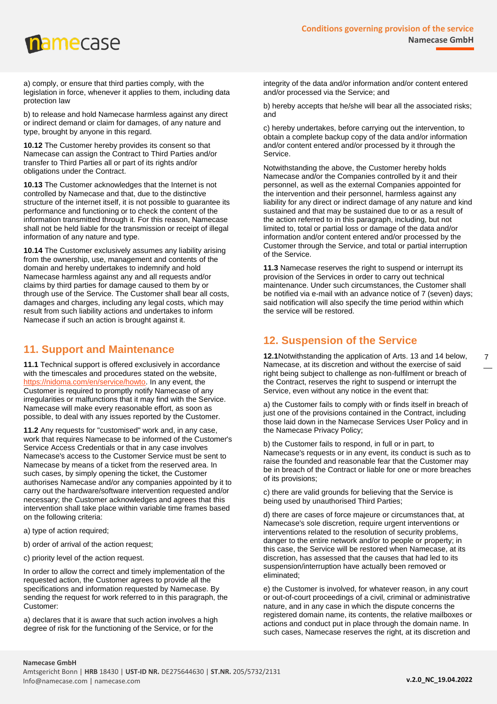a) comply, or ensure that third parties comply, with the legislation in force, whenever it applies to them, including data protection law

b) to release and hold Namecase harmless against any direct or indirect demand or claim for damages, of any nature and type, brought by anyone in this regard.

**10.12** The Customer hereby provides its consent so that Namecase can assign the Contract to Third Parties and/or transfer to Third Parties all or part of its rights and/or obligations under the Contract.

**10.13** The Customer acknowledges that the Internet is not controlled by Namecase and that, due to the distinctive structure of the internet itself, it is not possible to guarantee its performance and functioning or to check the content of the information transmitted through it. For this reason, Namecase shall not be held liable for the transmission or receipt of illegal information of any nature and type.

**10.14** The Customer exclusively assumes any liability arising from the ownership, use, management and contents of the domain and hereby undertakes to indemnify and hold Namecase harmless against any and all requests and/or claims by third parties for damage caused to them by or through use of the Service. The Customer shall bear all costs, damages and charges, including any legal costs, which may result from such liability actions and undertakes to inform Namecase if such an action is brought against it.

#### <span id="page-6-0"></span>**11. Support and Maintenance**

**11.1** Technical support is offered exclusively in accordance with the timescales and procedures stated on the website, [https://nidoma.com/en/service/howto.](https://nidoma.com/en/service/howto) In any event, the Customer is required to promptly notify Namecase of any irregularities or malfunctions that it may find with the Service. Namecase will make every reasonable effort, as soon as possible, to deal with any issues reported by the Customer.

**11.2** Any requests for "customised" work and, in any case, work that requires Namecase to be informed of the Customer's Service Access Credentials or that in any case involves Namecase's access to the Customer Service must be sent to Namecase by means of a ticket from the reserved area. In such cases, by simply opening the ticket, the Customer authorises Namecase and/or any companies appointed by it to carry out the hardware/software intervention requested and/or necessary; the Customer acknowledges and agrees that this intervention shall take place within variable time frames based on the following criteria:

- a) type of action required;
- b) order of arrival of the action request;
- c) priority level of the action request.

In order to allow the correct and timely implementation of the requested action, the Customer agrees to provide all the specifications and information requested by Namecase. By sending the request for work referred to in this paragraph, the Customer:

a) declares that it is aware that such action involves a high degree of risk for the functioning of the Service, or for the

integrity of the data and/or information and/or content entered and/or processed via the Service; and

b) hereby accepts that he/she will bear all the associated risks; and

c) hereby undertakes, before carrying out the intervention, to obtain a complete backup copy of the data and/or information and/or content entered and/or processed by it through the Service.

Notwithstanding the above, the Customer hereby holds Namecase and/or the Companies controlled by it and their personnel, as well as the external Companies appointed for the intervention and their personnel, harmless against any liability for any direct or indirect damage of any nature and kind sustained and that may be sustained due to or as a result of the action referred to in this paragraph, including, but not limited to, total or partial loss or damage of the data and/or information and/or content entered and/or processed by the Customer through the Service, and total or partial interruption of the Service.

**11.3** Namecase reserves the right to suspend or interrupt its provision of the Services in order to carry out technical maintenance. Under such circumstances, the Customer shall be notified via e-mail with an advance notice of 7 (seven) days; said notification will also specify the time period within which the service will be restored.

#### <span id="page-6-1"></span>**12. Suspension of the Service**

**12.1**Notwithstanding the application of Arts. 13 and 14 below, Namecase, at its discretion and without the exercise of said right being subject to challenge as non-fulfilment or breach of the Contract, reserves the right to suspend or interrupt the Service, even without any notice in the event that:

a) the Customer fails to comply with or finds itself in breach of just one of the provisions contained in the Contract, including those laid down in the Namecase Services User Policy and in the Namecase Privacy Policy;

b) the Customer fails to respond, in full or in part, to Namecase's requests or in any event, its conduct is such as to raise the founded and reasonable fear that the Customer may be in breach of the Contract or liable for one or more breaches of its provisions;

c) there are valid grounds for believing that the Service is being used by unauthorised Third Parties;

d) there are cases of force majeure or circumstances that, at Namecase's sole discretion, require urgent interventions or interventions related to the resolution of security problems, danger to the entire network and/or to people or property; in this case, the Service will be restored when Namecase, at its discretion, has assessed that the causes that had led to its suspension/interruption have actually been removed or eliminated;

e) the Customer is involved, for whatever reason, in any court or out-of-court proceedings of a civil, criminal or administrative nature, and in any case in which the dispute concerns the registered domain name, its contents, the relative mailboxes or actions and conduct put in place through the domain name. In such cases, Namecase reserves the right, at its discretion and

7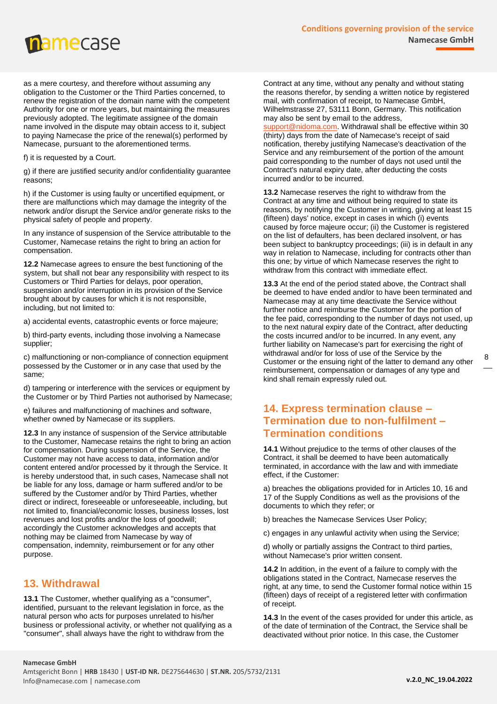

as a mere courtesy, and therefore without assuming any obligation to the Customer or the Third Parties concerned, to renew the registration of the domain name with the competent Authority for one or more years, but maintaining the measures previously adopted. The legitimate assignee of the domain name involved in the dispute may obtain access to it, subject to paying Namecase the price of the renewal(s) performed by Namecase, pursuant to the aforementioned terms.

f) it is requested by a Court.

g) if there are justified security and/or confidentiality guarantee reasons;

h) if the Customer is using faulty or uncertified equipment, or there are malfunctions which may damage the integrity of the network and/or disrupt the Service and/or generate risks to the physical safety of people and property.

In any instance of suspension of the Service attributable to the Customer, Namecase retains the right to bring an action for compensation.

**12.2** Namecase agrees to ensure the best functioning of the system, but shall not bear any responsibility with respect to its Customers or Third Parties for delays, poor operation, suspension and/or interruption in its provision of the Service brought about by causes for which it is not responsible, including, but not limited to:

a) accidental events, catastrophic events or force majeure;

b) third-party events, including those involving a Namecase supplier;

c) malfunctioning or non-compliance of connection equipment possessed by the Customer or in any case that used by the same;

d) tampering or interference with the services or equipment by the Customer or by Third Parties not authorised by Namecase;

e) failures and malfunctioning of machines and software, whether owned by Namecase or its suppliers.

**12.3** In any instance of suspension of the Service attributable to the Customer, Namecase retains the right to bring an action for compensation. During suspension of the Service, the Customer may not have access to data, information and/or content entered and/or processed by it through the Service. It is hereby understood that, in such cases, Namecase shall not be liable for any loss, damage or harm suffered and/or to be suffered by the Customer and/or by Third Parties, whether direct or indirect, foreseeable or unforeseeable, including, but not limited to, financial/economic losses, business losses, lost revenues and lost profits and/or the loss of goodwill; accordingly the Customer acknowledges and accepts that nothing may be claimed from Namecase by way of compensation, indemnity, reimbursement or for any other purpose.

#### <span id="page-7-0"></span>**13. Withdrawal**

**13.1** The Customer, whether qualifying as a "consumer", identified, pursuant to the relevant legislation in force, as the natural person who acts for purposes unrelated to his/her business or professional activity, or whether not qualifying as a "consumer", shall always have the right to withdraw from the

Contract at any time, without any penalty and without stating the reasons therefor, by sending a written notice by registered mail, with confirmation of receipt, to Namecase GmbH, Wilhelmstrasse 27, 53111 Bonn, Germany. This notification may also be sent by email to the address,

[support@nidoma.com.](mailto:support@nidoma.com) Withdrawal shall be effective within 30 (thirty) days from the date of Namecase's receipt of said notification, thereby justifying Namecase's deactivation of the Service and any reimbursement of the portion of the amount paid corresponding to the number of days not used until the Contract's natural expiry date, after deducting the costs incurred and/or to be incurred.

**13.2** Namecase reserves the right to withdraw from the Contract at any time and without being required to state its reasons, by notifying the Customer in writing, giving at least 15 (fifteen) days' notice, except in cases in which (i) events caused by force majeure occur; (ii) the Customer is registered on the list of defaulters, has been declared insolvent, or has been subject to bankruptcy proceedings; (iii) is in default in any way in relation to Namecase, including for contracts other than this one; by virtue of which Namecase reserves the right to withdraw from this contract with immediate effect.

**13.3** At the end of the period stated above, the Contract shall be deemed to have ended and/or to have been terminated and Namecase may at any time deactivate the Service without further notice and reimburse the Customer for the portion of the fee paid, corresponding to the number of days not used, up to the next natural expiry date of the Contract, after deducting the costs incurred and/or to be incurred. In any event, any further liability on Namecase's part for exercising the right of withdrawal and/or for loss of use of the Service by the Customer or the ensuing right of the latter to demand any other reimbursement, compensation or damages of any type and kind shall remain expressly ruled out.

#### <span id="page-7-1"></span>**14. Express termination clause – Termination due to non-fulfilment – Termination conditions**

**14.1** Without prejudice to the terms of other clauses of the Contract, it shall be deemed to have been automatically terminated, in accordance with the law and with immediate effect, if the Customer:

a) breaches the obligations provided for in Articles 10, 16 and 17 of the Supply Conditions as well as the provisions of the documents to which they refer; or

b) breaches the Namecase Services User Policy;

c) engages in any unlawful activity when using the Service;

d) wholly or partially assigns the Contract to third parties, without Namecase's prior written consent.

**14.2** In addition, in the event of a failure to comply with the obligations stated in the Contract, Namecase reserves the right, at any time, to send the Customer formal notice within 15 (fifteen) days of receipt of a registered letter with confirmation of receipt.

**14.3** In the event of the cases provided for under this article, as of the date of termination of the Contract, the Service shall be deactivated without prior notice. In this case, the Customer

#### **Namecase GmbH**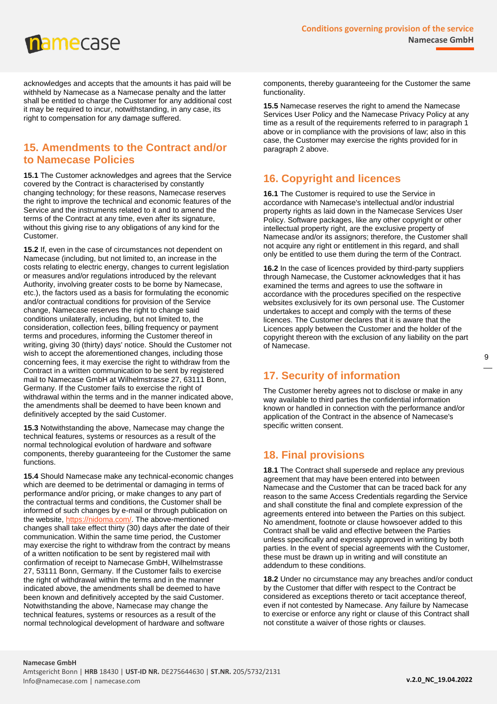acknowledges and accepts that the amounts it has paid will be withheld by Namecase as a Namecase penalty and the latter shall be entitled to charge the Customer for any additional cost it may be required to incur, notwithstanding, in any case, its right to compensation for any damage suffered.

#### <span id="page-8-0"></span>**15. Amendments to the Contract and/or to Namecase Policies**

**15.1** The Customer acknowledges and agrees that the Service covered by the Contract is characterised by constantly changing technology; for these reasons, Namecase reserves the right to improve the technical and economic features of the Service and the instruments related to it and to amend the terms of the Contract at any time, even after its signature, without this giving rise to any obligations of any kind for the Customer.

**15.2** If, even in the case of circumstances not dependent on Namecase (including, but not limited to, an increase in the costs relating to electric energy, changes to current legislation or measures and/or regulations introduced by the relevant Authority, involving greater costs to be borne by Namecase, etc.), the factors used as a basis for formulating the economic and/or contractual conditions for provision of the Service change, Namecase reserves the right to change said conditions unilaterally, including, but not limited to, the consideration, collection fees, billing frequency or payment terms and procedures, informing the Customer thereof in writing, giving 30 (thirty) days' notice. Should the Customer not wish to accept the aforementioned changes, including those concerning fees, it may exercise the right to withdraw from the Contract in a written communication to be sent by registered mail to Namecase GmbH at Wilhelmstrasse 27, 63111 Bonn, Germany. If the Customer fails to exercise the right of withdrawal within the terms and in the manner indicated above, the amendments shall be deemed to have been known and definitively accepted by the said Customer.

**15.3** Notwithstanding the above, Namecase may change the technical features, systems or resources as a result of the normal technological evolution of hardware and software components, thereby guaranteeing for the Customer the same functions.

**15.4** Should Namecase make any technical-economic changes which are deemed to be detrimental or damaging in terms of performance and/or pricing, or make changes to any part of the contractual terms and conditions, the Customer shall be informed of such changes by e-mail or through publication on the website, [https://nidoma.com/.](https://nidoma.com/) The above-mentioned changes shall take effect thirty (30) days after the date of their communication. Within the same time period, the Customer may exercise the right to withdraw from the contract by means of a written notification to be sent by registered mail with confirmation of receipt to Namecase GmbH, Wilhelmstrasse 27, 53111 Bonn, Germany. If the Customer fails to exercise the right of withdrawal within the terms and in the manner indicated above, the amendments shall be deemed to have been known and definitively accepted by the said Customer. Notwithstanding the above, Namecase may change the technical features, systems or resources as a result of the normal technological development of hardware and software

components, thereby guaranteeing for the Customer the same functionality.

**15.5** Namecase reserves the right to amend the Namecase Services User Policy and the Namecase Privacy Policy at any time as a result of the requirements referred to in paragraph 1 above or in compliance with the provisions of law; also in this case, the Customer may exercise the rights provided for in paragraph 2 above.

#### <span id="page-8-1"></span>**16. Copyright and licences**

**16.1** The Customer is required to use the Service in accordance with Namecase's intellectual and/or industrial property rights as laid down in the Namecase Services User Policy. Software packages, like any other copyright or other intellectual property right, are the exclusive property of Namecase and/or its assignors; therefore, the Customer shall not acquire any right or entitlement in this regard, and shall only be entitled to use them during the term of the Contract.

**16.2** In the case of licences provided by third-party suppliers through Namecase, the Customer acknowledges that it has examined the terms and agrees to use the software in accordance with the procedures specified on the respective websites exclusively for its own personal use. The Customer undertakes to accept and comply with the terms of these licences. The Customer declares that it is aware that the Licences apply between the Customer and the holder of the copyright thereon with the exclusion of any liability on the part of Namecase.

### <span id="page-8-2"></span>**17. Security of information**

The Customer hereby agrees not to disclose or make in any way available to third parties the confidential information known or handled in connection with the performance and/or application of the Contract in the absence of Namecase's specific written consent.

### <span id="page-8-3"></span>**18. Final provisions**

**18.1** The Contract shall supersede and replace any previous agreement that may have been entered into between Namecase and the Customer that can be traced back for any reason to the same Access Credentials regarding the Service and shall constitute the final and complete expression of the agreements entered into between the Parties on this subject. No amendment, footnote or clause howsoever added to this Contract shall be valid and effective between the Parties unless specifically and expressly approved in writing by both parties. In the event of special agreements with the Customer, these must be drawn up in writing and will constitute an addendum to these conditions.

**18.2** Under no circumstance may any breaches and/or conduct by the Customer that differ with respect to the Contract be considered as exceptions thereto or tacit acceptance thereof, even if not contested by Namecase. Any failure by Namecase to exercise or enforce any right or clause of this Contract shall not constitute a waiver of those rights or clauses.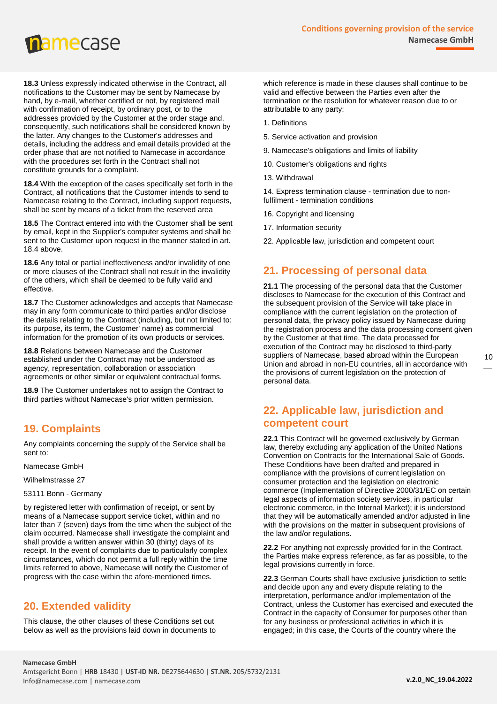

**18.3** Unless expressly indicated otherwise in the Contract, all notifications to the Customer may be sent by Namecase by hand, by e-mail, whether certified or not, by registered mail with confirmation of receipt, by ordinary post, or to the addresses provided by the Customer at the order stage and, consequently, such notifications shall be considered known by the latter. Any changes to the Customer's addresses and details, including the address and email details provided at the order phase that are not notified to Namecase in accordance with the procedures set forth in the Contract shall not constitute grounds for a complaint.

**18.4** With the exception of the cases specifically set forth in the Contract, all notifications that the Customer intends to send to Namecase relating to the Contract, including support requests, shall be sent by means of a ticket from the reserved area

**18.5** The Contract entered into with the Customer shall be sent by email, kept in the Supplier's computer systems and shall be sent to the Customer upon request in the manner stated in art. 18.4 above.

**18.6** Any total or partial ineffectiveness and/or invalidity of one or more clauses of the Contract shall not result in the invalidity of the others, which shall be deemed to be fully valid and effective.

**18.7** The Customer acknowledges and accepts that Namecase may in any form communicate to third parties and/or disclose the details relating to the Contract (including, but not limited to: its purpose, its term, the Customer' name) as commercial information for the promotion of its own products or services.

**18.8** Relations between Namecase and the Customer established under the Contract may not be understood as agency, representation, collaboration or association agreements or other similar or equivalent contractual forms.

**18.9** The Customer undertakes not to assign the Contract to third parties without Namecase's prior written permission.

#### <span id="page-9-0"></span>**19. Complaints**

Any complaints concerning the supply of the Service shall be sent to:

Namecase GmbH

Wilhelmstrasse 27

#### 53111 Bonn - Germany

by registered letter with confirmation of receipt, or sent by means of a Namecase support service ticket, within and no later than 7 (seven) days from the time when the subject of the claim occurred. Namecase shall investigate the complaint and shall provide a written answer within 30 (thirty) days of its receipt. In the event of complaints due to particularly complex circumstances, which do not permit a full reply within the time limits referred to above, Namecase will notify the Customer of progress with the case within the afore-mentioned times.

#### <span id="page-9-1"></span>**20. Extended validity**

This clause, the other clauses of these Conditions set out below as well as the provisions laid down in documents to which reference is made in these clauses shall continue to be valid and effective between the Parties even after the termination or the resolution for whatever reason due to or attributable to any party:

- 1. Definitions
- 5. Service activation and provision
- 9. Namecase's obligations and limits of liability
- 10. Customer's obligations and rights
- 13. Withdrawal

14. Express termination clause - termination due to nonfulfilment - termination conditions

- 16. Copyright and licensing
- 17. Information security
- 22. Applicable law, jurisdiction and competent court

### <span id="page-9-2"></span>**21. Processing of personal data**

**21.1** The processing of the personal data that the Customer discloses to Namecase for the execution of this Contract and the subsequent provision of the Service will take place in compliance with the current legislation on the protection of personal data, the privacy policy issued by Namecase during the registration process and the data processing consent given by the Customer at that time. The data processed for execution of the Contract may be disclosed to third-party suppliers of Namecase, based abroad within the European Union and abroad in non-EU countries, all in accordance with the provisions of current legislation on the protection of personal data.

#### <span id="page-9-3"></span>**22. Applicable law, jurisdiction and competent court**

**22.1** This Contract will be governed exclusively by German law, thereby excluding any application of the United Nations Convention on Contracts for the International Sale of Goods. These Conditions have been drafted and prepared in compliance with the provisions of current legislation on consumer protection and the legislation on electronic commerce (Implementation of Directive 2000/31/EC on certain legal aspects of information society services, in particular electronic commerce, in the Internal Market); it is understood that they will be automatically amended and/or adjusted in line with the provisions on the matter in subsequent provisions of the law and/or regulations.

**22.2** For anything not expressly provided for in the Contract, the Parties make express reference, as far as possible, to the legal provisions currently in force.

**22.3** German Courts shall have exclusive jurisdiction to settle and decide upon any and every dispute relating to the interpretation, performance and/or implementation of the Contract, unless the Customer has exercised and executed the Contract in the capacity of Consumer for purposes other than for any business or professional activities in which it is engaged; in this case, the Courts of the country where the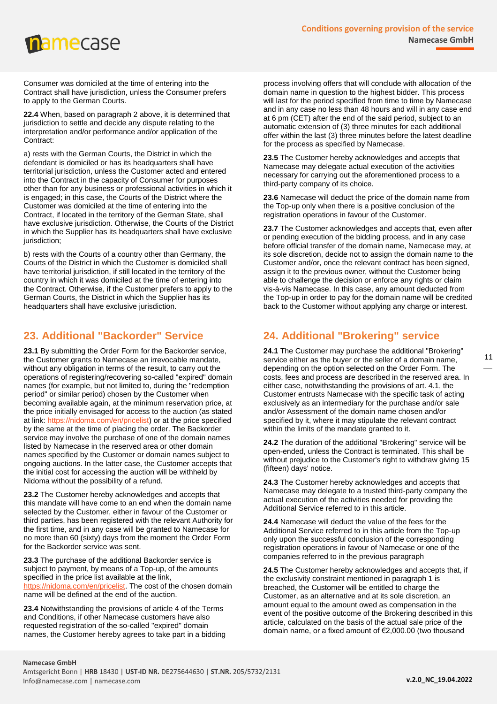## **namecase**

Consumer was domiciled at the time of entering into the Contract shall have jurisdiction, unless the Consumer prefers to apply to the German Courts.

**22.4** When, based on paragraph 2 above, it is determined that jurisdiction to settle and decide any dispute relating to the interpretation and/or performance and/or application of the Contract:

a) rests with the German Courts, the District in which the defendant is domiciled or has its headquarters shall have territorial jurisdiction, unless the Customer acted and entered into the Contract in the capacity of Consumer for purposes other than for any business or professional activities in which it is engaged; in this case, the Courts of the District where the Customer was domiciled at the time of entering into the Contract, if located in the territory of the German State, shall have exclusive jurisdiction. Otherwise, the Courts of the District in which the Supplier has its headquarters shall have exclusive jurisdiction;

b) rests with the Courts of a country other than Germany, the Courts of the District in which the Customer is domiciled shall have territorial jurisdiction, if still located in the territory of the country in which it was domiciled at the time of entering into the Contract. Otherwise, if the Customer prefers to apply to the German Courts, the District in which the Supplier has its headquarters shall have exclusive jurisdiction.

### <span id="page-10-0"></span>**23. Additional "Backorder" Service**

**23.1** By submitting the Order Form for the Backorder service, the Customer grants to Namecase an irrevocable mandate, without any obligation in terms of the result, to carry out the operations of registering/recovering so-called "expired" domain names (for example, but not limited to, during the "redemption period" or similar period) chosen by the Customer when becoming available again, at the minimum reservation price, at the price initially envisaged for access to the auction (as stated at link: [https://nidoma.com/en/pricelist\)](https://nidoma.com/en/pricelist) or at the price specified by the same at the time of placing the order. The Backorder service may involve the purchase of one of the domain names listed by Namecase in the reserved area or other domain names specified by the Customer or domain names subject to ongoing auctions. In the latter case, the Customer accepts that the initial cost for accessing the auction will be withheld by Nidoma without the possibility of a refund.

**23.2** The Customer hereby acknowledges and accepts that this mandate will have come to an end when the domain name selected by the Customer, either in favour of the Customer or third parties, has been registered with the relevant Authority for the first time, and in any case will be granted to Namecase for no more than 60 (sixty) days from the moment the Order Form for the Backorder service was sent.

**23.3** The purchase of the additional Backorder service is subject to payment, by means of a Top-up, of the amounts specified in the price list available at the link, [https://nidoma.com/en/pricelist.](https://nidoma.com/en/pricelist) The cost of the chosen domain name will be defined at the end of the auction.

**23.4** Notwithstanding the provisions of article 4 of the Terms and Conditions, if other Namecase customers have also requested registration of the so-called "expired" domain names, the Customer hereby agrees to take part in a bidding

process involving offers that will conclude with allocation of the domain name in question to the highest bidder. This process will last for the period specified from time to time by Namecase and in any case no less than 48 hours and will in any case end at 6 pm (CET) after the end of the said period, subject to an automatic extension of (3) three minutes for each additional offer within the last (3) three minutes before the latest deadline for the process as specified by Namecase.

**23.5** The Customer hereby acknowledges and accepts that Namecase may delegate actual execution of the activities necessary for carrying out the aforementioned process to a third-party company of its choice.

**23.6** Namecase will deduct the price of the domain name from the Top-up only when there is a positive conclusion of the registration operations in favour of the Customer.

**23.7** The Customer acknowledges and accepts that, even after or pending execution of the bidding process, and in any case before official transfer of the domain name, Namecase may, at its sole discretion, decide not to assign the domain name to the Customer and/or, once the relevant contract has been signed, assign it to the previous owner, without the Customer being able to challenge the decision or enforce any rights or claim vis-à-vis Namecase. In this case, any amount deducted from the Top-up in order to pay for the domain name will be credited back to the Customer without applying any charge or interest.

### <span id="page-10-1"></span>**24. Additional "Brokering" service**

**24.1** The Customer may purchase the additional "Brokering" service either as the buyer or the seller of a domain name, depending on the option selected on the Order Form. The costs, fees and process are described in the reserved area. In either case, notwithstanding the provisions of art. 4.1, the Customer entrusts Namecase with the specific task of acting exclusively as an intermediary for the purchase and/or sale and/or Assessment of the domain name chosen and/or specified by it, where it may stipulate the relevant contract within the limits of the mandate granted to it.

**24.2** The duration of the additional "Brokering" service will be open-ended, unless the Contract is terminated. This shall be without prejudice to the Customer's right to withdraw giving 15 (fifteen) days' notice.

**24.3** The Customer hereby acknowledges and accepts that Namecase may delegate to a trusted third-party company the actual execution of the activities needed for providing the Additional Service referred to in this article.

**24.4** Namecase will deduct the value of the fees for the Additional Service referred to in this article from the Top-up only upon the successful conclusion of the corresponding registration operations in favour of Namecase or one of the companies referred to in the previous paragraph

**24.5** The Customer hereby acknowledges and accepts that, if the exclusivity constraint mentioned in paragraph 1 is breached, the Customer will be entitled to charge the Customer, as an alternative and at its sole discretion, an amount equal to the amount owed as compensation in the event of the positive outcome of the Brokering described in this article, calculated on the basis of the actual sale price of the domain name, or a fixed amount of €2,000.00 (two thousand